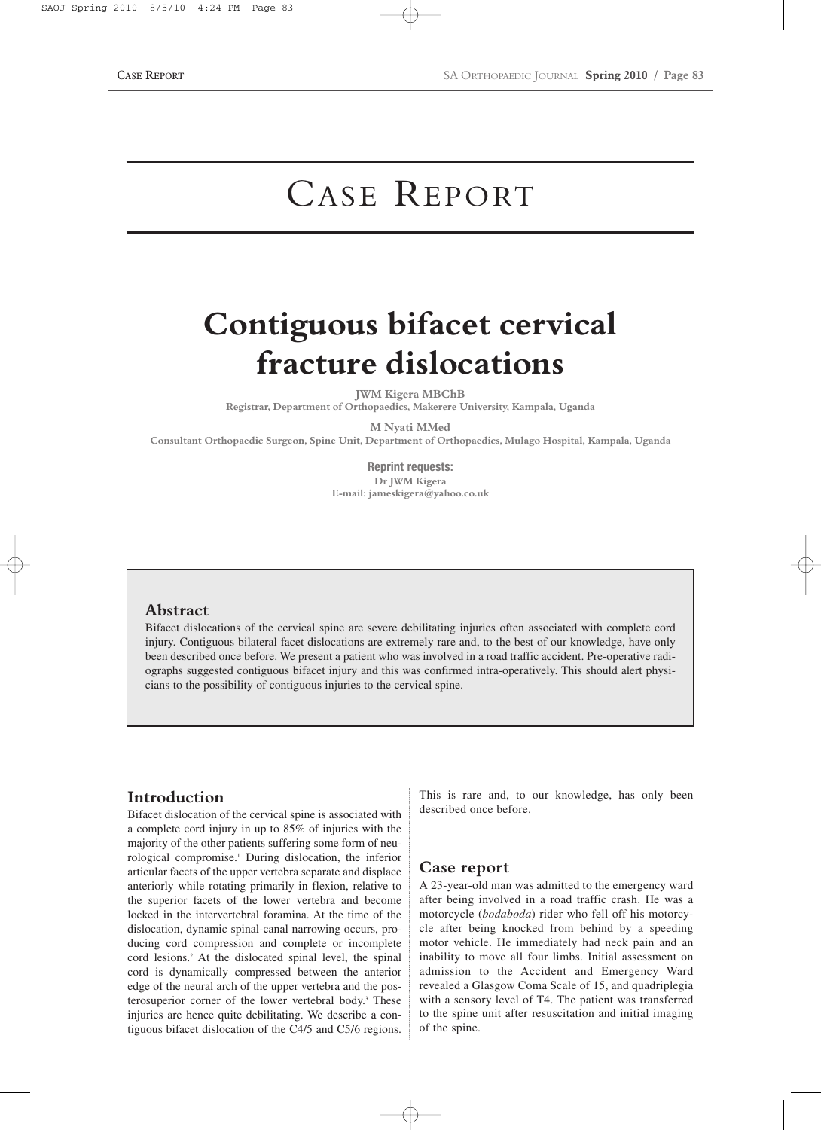# CASE REPORT

# **Contiguous bifacet cervical fracture dislocations**

**JWM Kigera MBChB**

**Registrar, Department of Orthopaedics, Makerere University, Kampala, Uganda**

**M Nyati MMed**

**Consultant Orthopaedic Surgeon, Spine Unit, Department of Orthopaedics, Mulago Hospital, Kampala, Uganda**

**Reprint requests: Dr JWM Kigera E-mail: jameskigera@yahoo.co.uk**

#### **Abstract**

Bifacet dislocations of the cervical spine are severe debilitating injuries often associated with complete cord injury. Contiguous bilateral facet dislocations are extremely rare and, to the best of our knowledge, have only been described once before. We present a patient who was involved in a road traffic accident. Pre-operative radiographs suggested contiguous bifacet injury and this was confirmed intra-operatively. This should alert physicians to the possibility of contiguous injuries to the cervical spine.

## **Introduction**

Bifacet dislocation of the cervical spine is associated with a complete cord injury in up to 85% of injuries with the majority of the other patients suffering some form of neurological compromise.1 During dislocation, the inferior articular facets of the upper vertebra separate and displace anteriorly while rotating primarily in flexion, relative to the superior facets of the lower vertebra and become locked in the intervertebral foramina. At the time of the dislocation, dynamic spinal-canal narrowing occurs, producing cord compression and complete or incomplete cord lesions.2 At the dislocated spinal level, the spinal cord is dynamically compressed between the anterior edge of the neural arch of the upper vertebra and the posterosuperior corner of the lower vertebral body.<sup>3</sup> These injuries are hence quite debilitating. We describe a contiguous bifacet dislocation of the C4/5 and C5/6 regions.

This is rare and, to our knowledge, has only been described once before.

### **Case report**

A 23-year-old man was admitted to the emergency ward after being involved in a road traffic crash. He was a motorcycle (*bodaboda*) rider who fell off his motorcycle after being knocked from behind by a speeding motor vehicle. He immediately had neck pain and an inability to move all four limbs. Initial assessment on admission to the Accident and Emergency Ward revealed a Glasgow Coma Scale of 15, and quadriplegia with a sensory level of T4. The patient was transferred to the spine unit after resuscitation and initial imaging of the spine.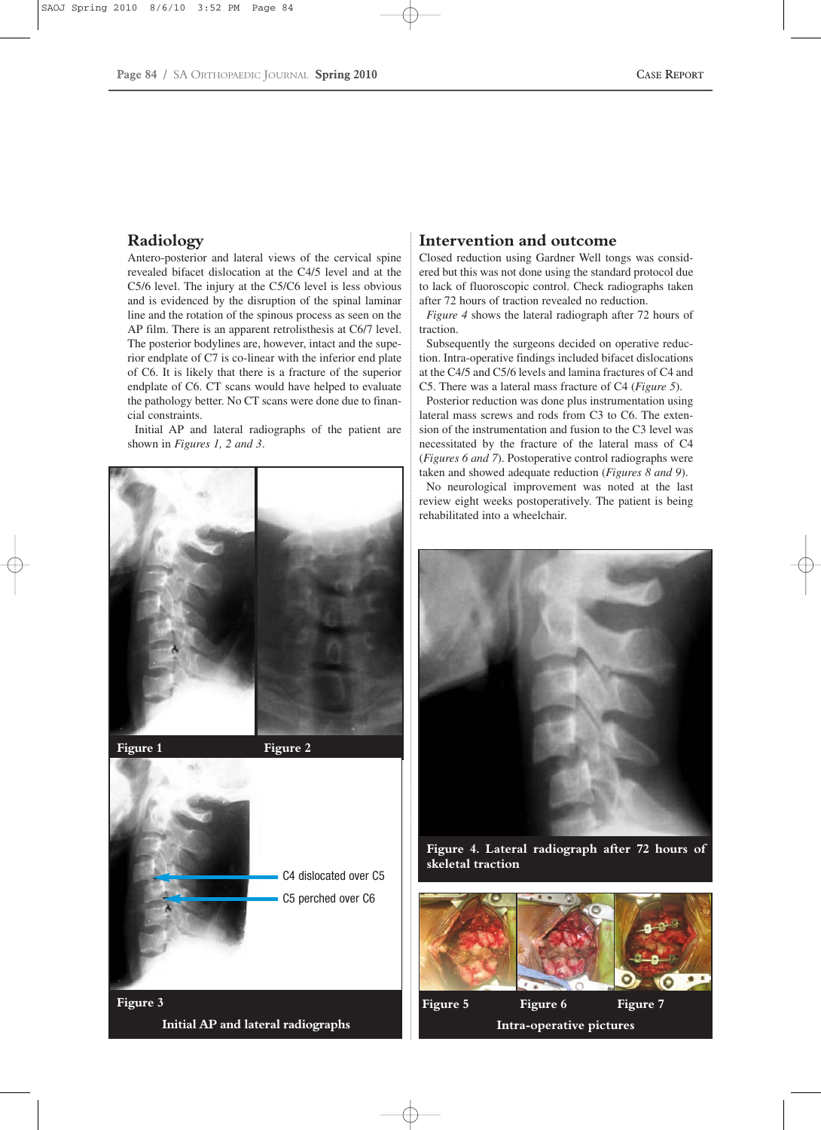## **Radiology**

Antero-posterior and lateral views of the cervical spine revealed bifacet dislocation at the C4/5 level and at the C5/6 level. The injury at the C5/C6 level is less obvious and is evidenced by the disruption of the spinal laminar line and the rotation of the spinous process as seen on the AP film. There is an apparent retrolisthesis at C6/7 level. The posterior bodylines are, however, intact and the superior endplate of C7 is co-linear with the inferior end plate of C6. It is likely that there is a fracture of the superior endplate of C6. CT scans would have helped to evaluate the pathology better. No CT scans were done due to financial constraints.

Initial AP and lateral radiographs of the patient are shown in *Figures 1, 2 and 3*.





**Figure 3 Initial AP and lateral radiographs**

### **Intervention and outcome**

Closed reduction using Gardner Well tongs was considered but this was not done using the standard protocol due to lack of fluoroscopic control. Check radiographs taken after 72 hours of traction revealed no reduction.

*Figure 4* shows the lateral radiograph after 72 hours of traction.

Subsequently the surgeons decided on operative reduction. Intra-operative findings included bifacet dislocations at the C4/5 and C5/6 levels and lamina fractures of C4 and C5. There was a lateral mass fracture of C4 (*Figure 5*).

Posterior reduction was done plus instrumentation using lateral mass screws and rods from C3 to C6. The extension of the instrumentation and fusion to the C3 level was necessitated by the fracture of the lateral mass of C4 (*Figures 6 and 7*). Postoperative control radiographs were taken and showed adequate reduction (*Figures 8 and 9*).

No neurological improvement was noted at the last review eight weeks postoperatively. The patient is being rehabilitated into a wheelchair.



**Figure 4. Lateral radiograph after 72 hours of skeletal traction**



**Intra-operative pictures**